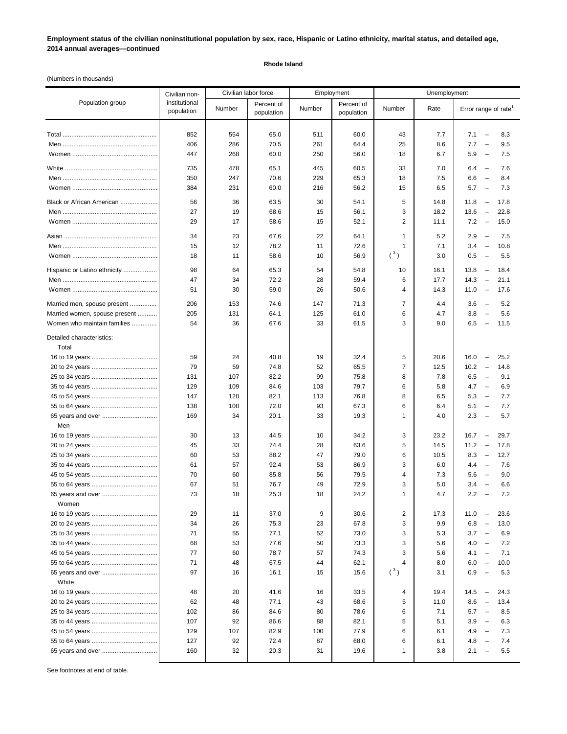**Employment status of the civilian noninstitutional population by sex, race, Hispanic or Latino ethnicity, marital status, and detailed age, 2014 annual averages—continued**

## **Rhode Island**

(Numbers in thousands)

|                                    | Civilian non-               | Civilian labor force |                          | Employment |                          | Unemployment            |            |                                                                                         |
|------------------------------------|-----------------------------|----------------------|--------------------------|------------|--------------------------|-------------------------|------------|-----------------------------------------------------------------------------------------|
| Population group                   | institutional<br>population | Number               | Percent of<br>population | Number     | Percent of<br>population | Number                  | Rate       | Error range of rate <sup>1</sup>                                                        |
|                                    | 852                         | 554                  |                          | 511        | 60.0                     |                         |            | 7.1<br>$\overline{\phantom{0}}$<br>8.3                                                  |
|                                    | 406                         | 286                  | 65.0<br>70.5             | 261        | 64.4                     | 43<br>25                | 7.7<br>8.6 | 7.7<br>9.5<br>$\overline{\phantom{0}}$                                                  |
|                                    | 447                         | 268                  | 60.0                     | 250        | 56.0                     | 18                      | 6.7        | 5.9<br>7.5<br>$\overline{\phantom{m}}$                                                  |
|                                    |                             |                      |                          |            |                          |                         |            |                                                                                         |
|                                    | 735                         | 478                  | 65.1                     | 445        | 60.5                     | 33                      | 7.0        | 7.6<br>6.4<br>$\overline{\phantom{a}}$                                                  |
|                                    | 350                         | 247                  | 70.6                     | 229        | 65.3                     | 18                      | 7.5        | 6.6<br>8.4<br>$\overline{\phantom{0}}$                                                  |
|                                    | 384                         | 231                  | 60.0                     | 216        | 56.2                     | 15                      | 6.5        | 5.7<br>7.3<br>$\overline{\phantom{a}}$                                                  |
| Black or African American          | 56                          | 36                   | 63.5                     | 30         | 54.1                     | 5                       | 14.8       | 11.8<br>17.8<br>$\overline{\phantom{a}}$                                                |
|                                    | 27                          | 19                   | 68.6                     | 15         | 56.1                     | 3                       | 18.2       | 13.6<br>$\overline{\phantom{a}}$<br>22.8                                                |
|                                    | 29                          | 17                   | 58.6                     | 15         | 52.1                     | $\overline{c}$          | 11.1       | 7.2<br>15.0<br>$\overline{\phantom{a}}$                                                 |
|                                    | 34                          | 23                   | 67.6                     | 22         | 64.1                     | 1                       | 5.2        | 2.9<br>7.5<br>$\overline{\phantom{a}}$                                                  |
|                                    | 15                          | 12                   | 78.2                     | 11         | 72.6                     | 1                       | 7.1        | 3.4<br>$\overline{\phantom{a}}$<br>10.8                                                 |
|                                    | 18                          | 11                   | 58.6                     | 10         | 56.9                     | $(^3)$                  | 3.0        | 0.5<br>5.5<br>$\overline{\phantom{a}}$                                                  |
| Hispanic or Latino ethnicity       | 98                          | 64                   | 65.3                     | 54         | 54.8                     | 10                      | 16.1       | 13.8<br>18.4<br>$\overline{\phantom{a}}$                                                |
|                                    | 47                          | 34                   | 72.2                     | 28         | 59.4                     | 6                       | 17.7       | 14.3<br>$\overline{\phantom{a}}$<br>21.1                                                |
|                                    | 51                          | 30                   | 59.0                     | 26         | 50.6                     | 4                       | 14.3       | 11.0<br>17.6<br>$\overline{\phantom{a}}$                                                |
| Married men, spouse present        | 206                         | 153                  | 74.6                     | 147        | 71.3                     | 7                       | 4.4        | 3.6<br>$\overline{\phantom{a}}$<br>5.2                                                  |
| Married women, spouse present      | 205                         | 131                  | 64.1                     | 125        | 61.0                     | 6                       | 4.7        | 3.8<br>5.6<br>$\overline{\phantom{a}}$                                                  |
| Women who maintain families        | 54                          | 36                   | 67.6                     | 33         | 61.5                     | 3                       | 9.0        | 6.5<br>$\overline{\phantom{a}}$<br>11.5                                                 |
| Detailed characteristics:<br>Total |                             |                      |                          |            |                          |                         |            |                                                                                         |
|                                    | 59                          | 24                   | 40.8                     | 19         | 32.4                     | 5                       | 20.6       | 16.0<br>25.2<br>$\overline{\phantom{a}}$                                                |
|                                    | 79                          | 59                   | 74.8                     | 52         | 65.5                     | $\overline{7}$          | 12.5       | 10.2<br>14.8<br>$\overline{\phantom{a}}$                                                |
|                                    | 131                         | 107                  | 82.2                     | 99         | 75.8                     | 8                       | 7.8        | 6.5<br>9.1<br>$\overline{\phantom{m}}$                                                  |
|                                    | 129                         | 109                  | 84.6                     | 103        | 79.7                     | 6                       | 5.8        | 4.7<br>6.9<br>$\overline{\phantom{a}}$                                                  |
|                                    | 147                         | 120                  | 82.1                     | 113        | 76.8                     | 8                       | 6.5        | 5.3<br>7.7<br>$\overline{\phantom{0}}$                                                  |
|                                    | 138                         | 100                  | 72.0                     | 93         | 67.3                     | 6                       | 6.4        | 5.1<br>7.7<br>$\overline{\phantom{a}}$                                                  |
| 65 years and over                  | 169                         | 34                   | 20.1                     | 33         | 19.3                     | 1                       | 4.0        | 2.3<br>5.7<br>$\overline{\phantom{a}}$                                                  |
| Men                                |                             |                      |                          |            |                          |                         |            |                                                                                         |
|                                    | 30                          | 13                   | 44.5                     | 10         | 34.2                     | 3                       | 23.2       | 29.7<br>16.7<br>$\overline{\phantom{a}}$                                                |
|                                    | 45                          | 33                   | 74.4                     | 28         | 63.6                     | 5                       | 14.5       | 11.2<br>17.8<br>$\overline{\phantom{a}}$                                                |
|                                    | 60                          | 53                   | 88.2                     | 47         | 79.0                     | 6                       | 10.5       | 8.3<br>12.7<br>$\overline{\phantom{a}}$                                                 |
|                                    | 61                          | 57                   | 92.4                     | 53         | 86.9                     | 3                       | 6.0        | 7.6<br>4.4<br>$\overline{\phantom{a}}$                                                  |
|                                    | 70                          | 60                   | 85.8                     | 56         | 79.5                     | 4                       | 7.3        | 5.6<br>$\overline{\phantom{a}}$<br>9.0                                                  |
|                                    | 67<br>73                    | 51<br>18             | 76.7<br>25.3             | 49<br>18   | 72.9<br>24.2             | 3<br>1                  | 5.0<br>4.7 | 3.4<br>$\overline{\phantom{a}}$<br>6.6<br>2.2<br>7.2<br>$\hspace{0.1mm}-\hspace{0.1mm}$ |
| 65 years and over<br>Women         |                             |                      |                          |            |                          |                         |            |                                                                                         |
|                                    | 29                          | 11                   | 37.0                     | 9          | 30.6                     | $\overline{\mathbf{c}}$ | 17.3       | 11.0<br>23.6<br>$\overline{\phantom{a}}$                                                |
|                                    | 34                          | 26                   | 75.3                     | 23         | 67.8                     | 3                       | 9.9        | 6.8<br>$\overline{\phantom{a}}$<br>13.0                                                 |
|                                    | 71                          | 55                   | 77.1                     | 52         | 73.0                     | 3                       | 5.3        | 3.7<br>6.9<br>$\overline{\phantom{a}}$                                                  |
|                                    | 68                          | 53                   | 77.6                     | 50         | 73.3                     | 3                       | 5.6        | 4.0<br>7.2<br>$\overline{\phantom{a}}$                                                  |
|                                    | 77                          | 60                   | 78.7                     | 57         | 74.3                     | 3                       | 5.6        | 4.1<br>7.1<br>$\overline{\phantom{a}}$                                                  |
|                                    | 71                          | 48                   | 67.5                     | 44         | 62.1                     | 4                       | 8.0        | 6.0<br>10.0<br>$\overline{\phantom{a}}$                                                 |
| 65 years and over                  | 97                          | 16                   | 16.1                     | 15         | 15.6                     | $(^3)$                  | 3.1        | 0.9<br>5.3<br>$\overline{\phantom{0}}$                                                  |
| White                              |                             |                      |                          |            |                          |                         |            |                                                                                         |
|                                    | 48                          | 20                   | 41.6                     | 16         | 33.5                     | 4                       | 19.4       | 14.5<br>24.3<br>$\overline{\phantom{a}}$                                                |
|                                    | 62                          | 48                   | 77.1                     | 43         | 68.6                     | 5                       | 11.0       | 8.6<br>13.4<br>$\overline{\phantom{a}}$                                                 |
|                                    | 102                         | 86                   | 84.6                     | 80         | 78.6                     | 6                       | 7.1        | 5.7<br>8.5<br>$\overline{\phantom{a}}$                                                  |
|                                    | 107                         | 92                   | 86.6                     | 88         | 82.1                     | 5                       | 5.1        | 3.9<br>6.3<br>$\overline{\phantom{a}}$                                                  |
|                                    | 129                         | 107                  | 82.9                     | 100        | 77.9                     | 6                       | 6.1        | 4.9<br>7.3<br>$\overline{\phantom{a}}$                                                  |
|                                    | 127                         | 92                   | 72.4                     | 87         | 68.0                     | 6                       | 6.1        | 4.8<br>7.4<br>$\overline{\phantom{a}}$                                                  |
| 65 years and over                  | 160                         | 32                   | 20.3                     | 31         | 19.6                     | 1                       | 3.8        | 5.5<br>2.1<br>$\overline{\phantom{0}}$                                                  |
|                                    |                             |                      |                          |            |                          |                         |            |                                                                                         |

See footnotes at end of table.